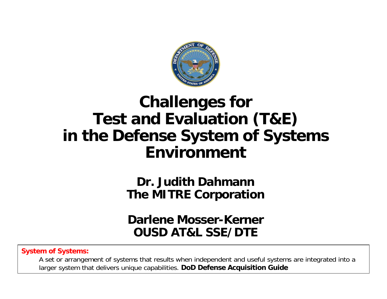

# **Challenges for Test and Evaluation (T&E) in the Defense System of Systems Environment**

**Dr. Judith DahmannThe MITRE Corporation**

#### **Darlene Mosser-KernerOUSD AT&L SSE/DTE**

#### **System of Systems:**

A set or arrangement of systems that results when independent and useful systems are integrated into a larger system that delivers unique capabilities. **DoD Defense Acquisition Guide**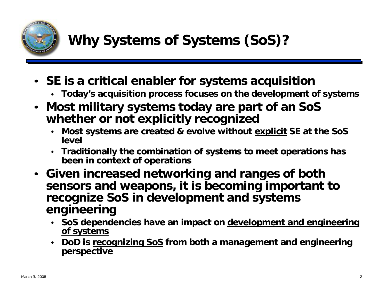

- **SE is a critical enabler for systems acquisition**
	- **Today's acquisition process focuses on the development of systems**
- **Most military systems today are part of an SoS whether or not explicitly recognized** 
	- **Most systems are created & evolve without explicit SE at the SoS level**
	- **Traditionally the combination of systems to meet operations has been in context of operations**
- **Given increased networking and ranges of both sensors and weapons, it is becoming important to recognize SoS in development and systems engineering**
	- **SoS dependencies have an impact on development and engineering of systems**
	- **DoD is recognizing SoS from both a management and engineering perspective**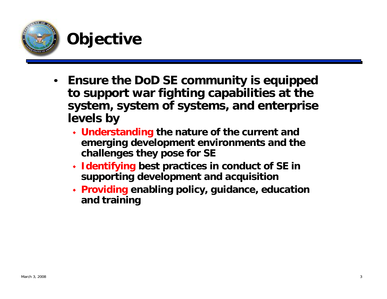

## **Objective**

- $\bullet$  **Ensure the DoD SE community is equipped to support war fighting capabilities at the system, system of systems, and enterprise levels by**
	- **Understanding the nature of the current and emerging development environments and the challenges they pose for SE**
	- **Identifying best practices in conduct of SE in supporting development and acquisition**
	- **Providing enabling policy, guidance, education and training**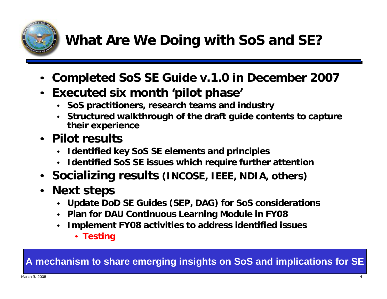

# **What Are We Doing with SoS and SE?**

- **Completed SoS SE Guide v.1.0 in December 2007**
- **Executed six month 'pilot phase'**
	- **SoS practitioners, research teams and industry**
	- **Structured walkthrough of the draft guide contents to capture their experience**
- **Pilot results** 
	- **Identified key SoS SE elements and principles**
	- **Identified SoS SE issues which require further attention**
- **Socializing results (INCOSE, IEEE, NDIA, others)**
- • **Next steps**
	- **Update DoD SE Guides (SEP, DAG) for SoS considerations**
	- **Plan for DAU Continuous Learning Module in FY08**
	- $\blacklozenge$  **Implement FY08 activities to address identified issues**
		- **Testing**

#### **A mechanism to share emerging insights on SoS and implications for SE**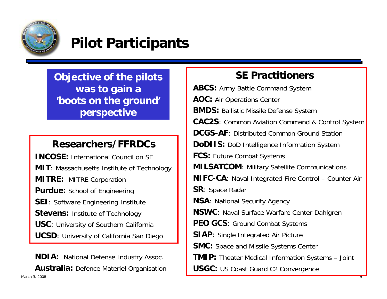

### **Pilot Participants**

**Objective of the pilots was to gain a 'boots on the ground' perspective**

#### **Researchers/FFRDCs**

**INCOSE:** International Council on SE**MIT:** Massachusetts Institute of Technology **MITRE:** MITRE Corporation **Purdue:** School of Engineering **SEI**: Software Engineering Institute **Stevens: Institute of Technology USC**: University of Southern California **UCSD**: University of California San Diego

Маrch 3, 2008 <del>б. 1 до 1999 годах во производите во примерени с примерени с примерени с примерени с примерени с</del> **Australia:** Defence Materiel Organisation **NDIA:** National Defense Industry Assoc.

#### **SE Practitioners**

**ABCS:** Army Battle Command System **AOC:** Air Operations Center **BMDS:** Ballistic Missile Defense System **CAC2S**: Common Aviation Command & Control System **DCGS-AF**: Distributed Common Ground Station**DoDIIS:** DoD Intelligence Information System **FCS:** Future Combat Systems **MILSATCOM**: Military Satellite Communications **NIFC-CA**: Naval Integrated Fire Control – Counter Air **SR**: Space Radar **NSA**: National Security Agency **NSWC**: Naval Surface Warfare Center Dahlgren **PEO GCS**: Ground Combat Systems **SIAP**: Single Integrated Air Picture **SMC:** Space and Missile Systems Center **TMIP:** Theater Medical Information Systems – Joint **USGC:** US Coast Guard C2 Convergence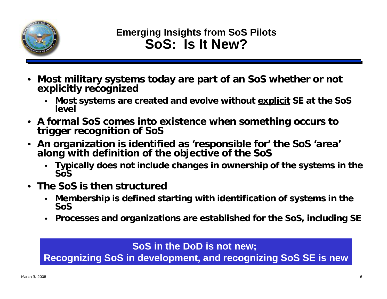

- • **Most military systems today are part of an SoS whether or not explicitly recognized** 
	- ٠ **Most systems are created and evolve without explicit SE at the SoS level**
- **A formal SoS comes into existence when something occurs to trigger recognition of SoS**
- **An organization is identified as 'responsible for' the SoS 'area' along with definition of the objective of the SoS**
	- **Typically does not include changes in ownership of the systems in the SoS**
- **The SoS is then structured** 
	- $\bullet$  **Membership is defined starting with identification of systems in the SoS**
	- ٠ **Processes and organizations are established for the SoS, including SE**

**SoS in the DoD is not new;** 

**Recognizing SoS in development, and recognizing SoS SE is new**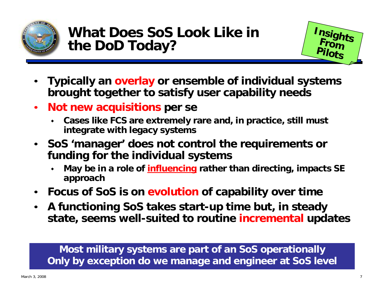



- • **Typically an overlay or ensemble of individual systems brought together to satisfy user capability needs**
- $\bullet$  **Not new acquisitions per se**
	- ٠ **Cases like FCS are extremely rare and, in practice, still must integrate with legacy systems**
- • **SoS 'manager' does not control the requirements or funding for the individual systems**
	- ٠ **May be in a role of influencing rather than directing, impacts SE approach**
- •**Focus of SoS is on evolution of capability over time**
- $\bullet$  **A functioning SoS takes start-up time but, in steady state, seems well-suited to routine incremental updates**

**Most military systems are part of an SoS operationally Only by exception do we manage and engineer at SoS level**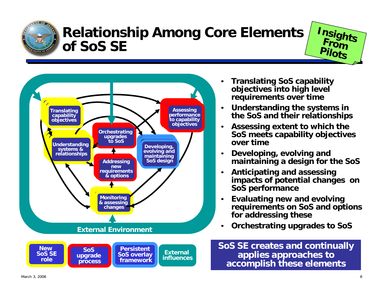

## **Relationship Among Core Elements of SoS SE**





**framework**

- • **Translating SoS capability objectives into high level requirements over time**
- • **Understanding the systems in the SoS and their relationships**
- • **Assessing extent to which the SoS meets capability objectives over time**
- • **Developing, evolving and maintaining a design for the SoS**
- $\bullet$  **Anticipating and assessing impacts of potential changes on SoS performance**
- $\bullet$  **Evaluating new and evolving requirements on SoS and options for addressing these**
- •**Orchestrating upgrades to SoS**

#### **SoS SE creates and continually applies approaches to accomplish these elements**

**role**

**process**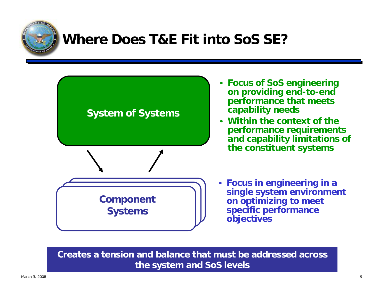

## **Where Does T&E Fit into SoS SE?**



- **Focus of SoS engineering on providing end-to-end performance that meets capability needs**
- **Within the context of the performance requirements and capability limitations of the constituent systems**
- • **Focus in engineering in a single system environment on optimizing to meet specific performance objectives**

**Creates a tension and balance that must be addressed across the system and SoS levels**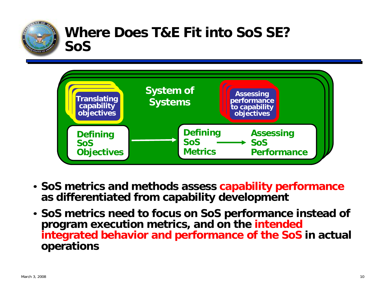

### **Where Does T&E Fit into SoS SE?SoS**



- **SoS metrics and methods assess capability performance as differentiated from capability development**
- **SoS metrics need to focus on SoS performance instead of program execution metrics, and on the intended integrated behavior and performance of the SoS in actual operations**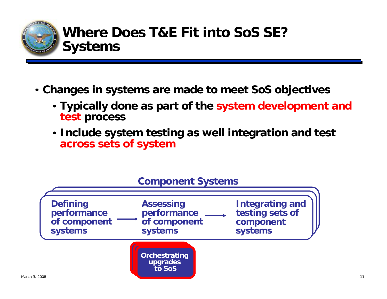

- **Changes in systems are made to meet SoS objectives**
	- **Typically done as part of the system development and test process**
	- **Include system testing as well integration and test across sets of system**

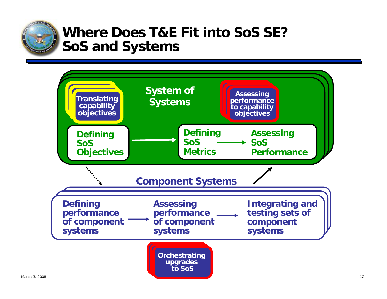

### **Where Does T&E Fit into SoS SE?SoS and Systems**

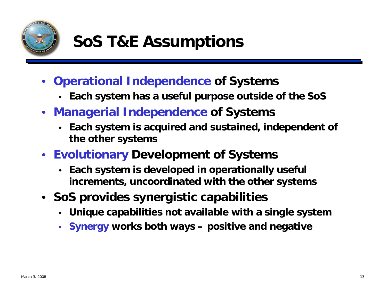

# **SoS T&E Assumptions**

- **Operational Independence of Systems**
	- **Each system has a useful purpose outside of the SoS**
- **Managerial Independence of Systems**
	- ٠ **Each system is acquired and sustained, independent of the other systems**
- **Evolutionary Development of Systems**
	- **Each system is developed in operationally useful increments, uncoordinated with the other systems**
- **SoS provides synergistic capabilities**
	- ٠ **Unique capabilities not available with a single system**
	- **Synergy works both ways – positive and negative**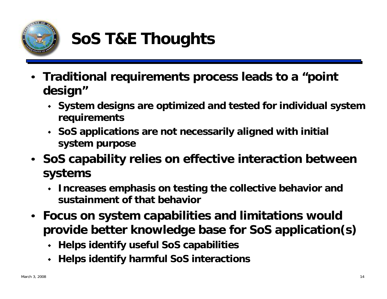

# **SoS T&E Thoughts**

- **Traditional requirements process leads to a "point design"**
	- **System designs are optimized and tested for individual system requirements**
	- **SoS applications are not necessarily aligned with initial system purpose**
- **SoS capability relies on effective interaction between systems**
	- $\bullet$  **Increases emphasis on testing the collective behavior and sustainment of that behavior**
- **Focus on system capabilities and limitations would provide better knowledge base for SoS application(s)**
	- **Helps identify useful SoS capabilities**
	- **Helps identify harmful SoS interactions**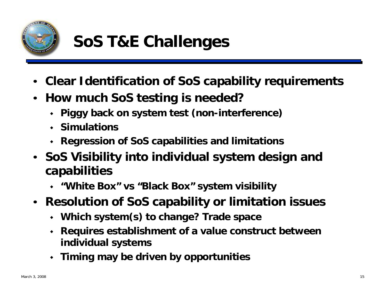

# **SoS T&E Challenges**

- •**Clear Identification of SoS capability requirements**
- $\bullet$  **How much SoS testing is needed?**
	- **Piggy back on system test (non-interference)**
	- **Simulations**
	- **Regression of SoS capabilities and limitations**
- **SoS Visibility into individual system design and capabilities**
	- **"White Box" vs "Black Box" system visibility**
- **Resolution of SoS capability or limitation issues**
	- **Which system(s) to change? Trade space**
	- **Requires establishment of a value construct between individual systems**
	- **Timing may be driven by opportunities**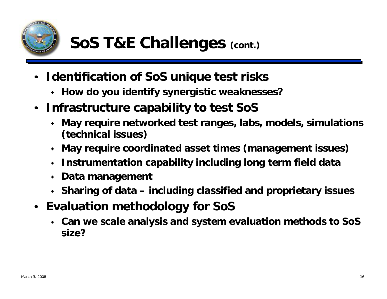

- • **Identification of SoS unique test risks**
	- **How do you identify synergistic weaknesses?**
- $\bullet$  **Infrastructure capability to test SoS**
	- ٠ **May require networked test ranges, labs, models, simulations (technical issues)**
	- **May require coordinated asset times (management issues)**
	- **Instrumentation capability including long term field data**
	- **Data management**
	- **Sharing of data – including classified and proprietary issues**
- $\bullet$  **Evaluation methodology for SoS**
	- **Can we scale analysis and system evaluation methods to SoS size?**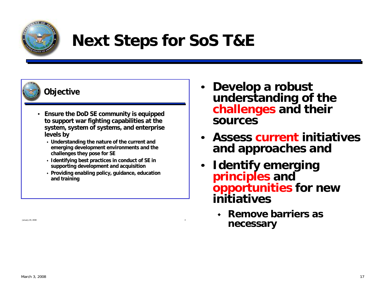

# **Next Steps for SoS T&E**



#### **Objective**

- • **Ensure the DoD SE community is equipped to support war fighting capabilities at the system, system of systems, and enterprise levels by**
	- **Understanding the nature of the current and emerging development environments and the challenges they pose for SE**
	- **Identifying best practices in conduct of SE in supporting development and acquisition**
	- **Providing enabling policy, guidance, education and training**

January 29, 2008 3

- • **Develop a robust understanding of the challenges and their sources**
- • **Assess current initiatives and approaches and**
- • **Identify emerging principles and opportunities for new initiatives**
	- ٠ **Remove barriers as necessary**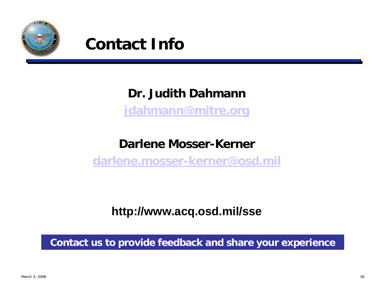



### **Dr. Judith Dahmann**

**[jdahmann@mitre.org](mailto:jdahmann@mitre.org)**

### **Darlene Mosser-Kerner**

**[darlene.mosser-kerner@osd.mil](mailto:darlene.mosser-kerner@osd.mil)**

**http://www.acq.osd.mil/sse**

**Contact us to provide feedback and share your experience**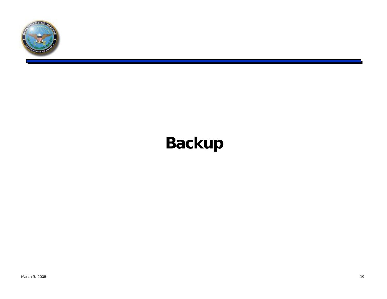

# **Backup**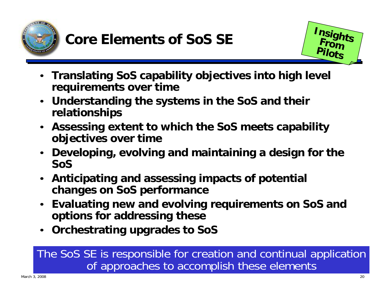



- **Translating SoS capability objectives into high level requirements over time**
- **Understanding the systems in the SoS and their relationships**
- **Assessing extent to which the SoS meets capability objectives over time**
- **Developing, evolving and maintaining a design for the SoS**
- **Anticipating and assessing impacts of potential changes on SoS performance**
- **Evaluating new and evolving requirements on SoS and options for addressing these**
- **Orchestrating upgrades to SoS**

### The SoS SE is responsible for creation and continual application of approaches to accomplish these elements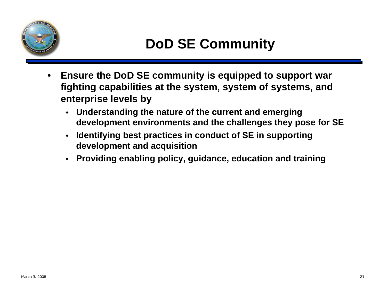

- • **Ensure the DoD SE community is equipped to support war fighting capabilities at the system, system of systems, and enterprise levels by**
	- ٠ **Understanding the nature of the current and emerging development environments and the challenges they pose for SE**
	- **Identifying best practices in conduct of SE in supporting development and acquisition**
	- ٠ **Providing enabling policy, guidance, education and training**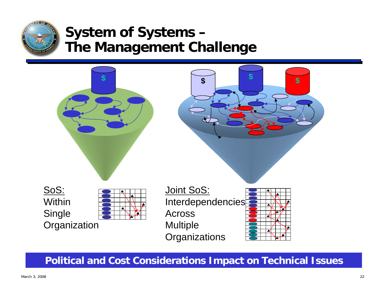

### **System of Systems – The Management Challenge**



**Political and Cost Considerations Impact on Technical Issues**